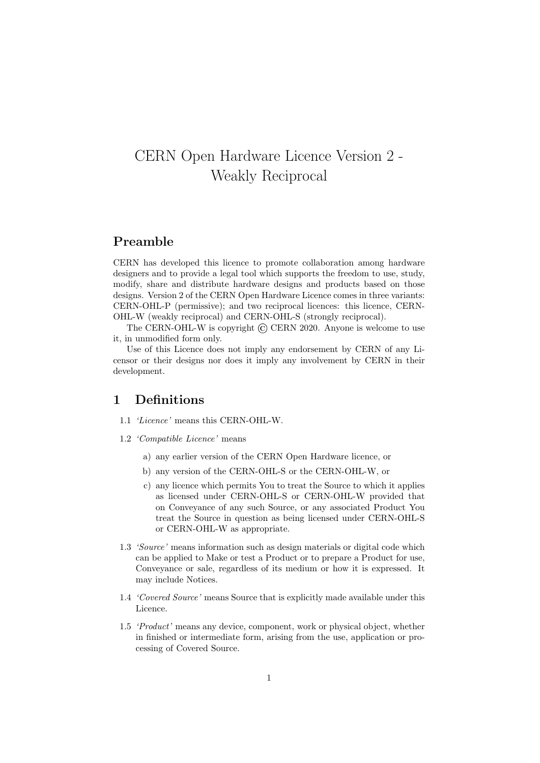# CERN Open Hardware Licence Version 2 - Weakly Reciprocal

### Preamble

CERN has developed this licence to promote collaboration among hardware designers and to provide a legal tool which supports the freedom to use, study, modify, share and distribute hardware designs and products based on those designs. Version 2 of the CERN Open Hardware Licence comes in three variants: CERN-OHL-P (permissive); and two reciprocal licences: this licence, CERN-OHL-W (weakly reciprocal) and CERN-OHL-S (strongly reciprocal).

The CERN-OHL-W is copyright  $\odot$  CERN 2020. Anyone is welcome to use it, in unmodified form only.

Use of this Licence does not imply any endorsement by CERN of any Licensor or their designs nor does it imply any involvement by CERN in their development.

#### 1 Definitions

- 1.1 'Licence' means this CERN-OHL-W.
- 1.2 'Compatible Licence' means
	- a) any earlier version of the CERN Open Hardware licence, or
	- b) any version of the CERN-OHL-S or the CERN-OHL-W, or
	- c) any licence which permits You to treat the Source to which it applies as licensed under CERN-OHL-S or CERN-OHL-W provided that on Conveyance of any such Source, or any associated Product You treat the Source in question as being licensed under CERN-OHL-S or CERN-OHL-W as appropriate.
- 1.3 'Source' means information such as design materials or digital code which can be applied to Make or test a Product or to prepare a Product for use, Conveyance or sale, regardless of its medium or how it is expressed. It may include Notices.
- 1.4 'Covered Source' means Source that is explicitly made available under this Licence.
- 1.5 'Product' means any device, component, work or physical object, whether in finished or intermediate form, arising from the use, application or processing of Covered Source.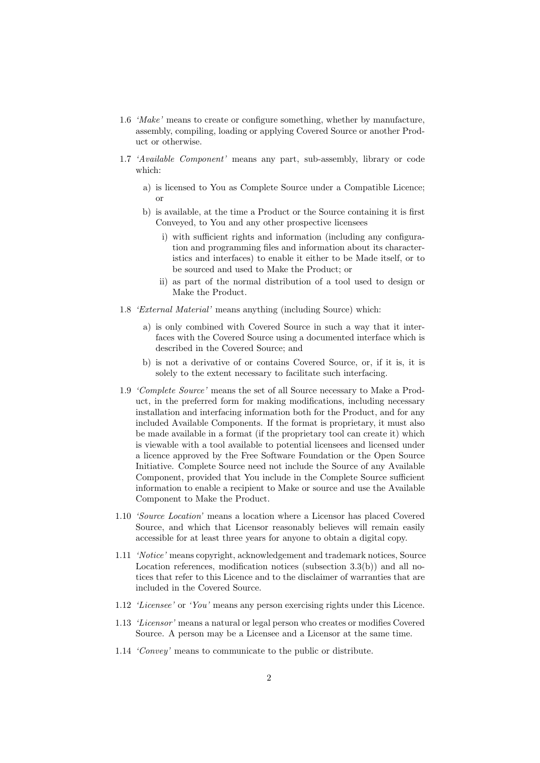- 1.6 'Make' means to create or configure something, whether by manufacture, assembly, compiling, loading or applying Covered Source or another Product or otherwise.
- 1.7 'Available Component' means any part, sub-assembly, library or code which:
	- a) is licensed to You as Complete Source under a Compatible Licence; or
	- b) is available, at the time a Product or the Source containing it is first Conveyed, to You and any other prospective licensees
		- i) with sufficient rights and information (including any configuration and programming files and information about its characteristics and interfaces) to enable it either to be Made itself, or to be sourced and used to Make the Product; or
		- ii) as part of the normal distribution of a tool used to design or Make the Product.
- 1.8 'External Material' means anything (including Source) which:
	- a) is only combined with Covered Source in such a way that it interfaces with the Covered Source using a documented interface which is described in the Covered Source; and
	- b) is not a derivative of or contains Covered Source, or, if it is, it is solely to the extent necessary to facilitate such interfacing.
- 1.9 'Complete Source' means the set of all Source necessary to Make a Product, in the preferred form for making modifications, including necessary installation and interfacing information both for the Product, and for any included Available Components. If the format is proprietary, it must also be made available in a format (if the proprietary tool can create it) which is viewable with a tool available to potential licensees and licensed under a licence approved by the Free Software Foundation or the Open Source Initiative. Complete Source need not include the Source of any Available Component, provided that You include in the Complete Source sufficient information to enable a recipient to Make or source and use the Available Component to Make the Product.
- 1.10 'Source Location' means a location where a Licensor has placed Covered Source, and which that Licensor reasonably believes will remain easily accessible for at least three years for anyone to obtain a digital copy.
- 1.11 'Notice' means copyright, acknowledgement and trademark notices, Source Location references, modification notices (subsection 3.3(b)) and all notices that refer to this Licence and to the disclaimer of warranties that are included in the Covered Source.
- 1.12 'Licensee' or 'You' means any person exercising rights under this Licence.
- 1.13 'Licensor' means a natural or legal person who creates or modifies Covered Source. A person may be a Licensee and a Licensor at the same time.
- 1.14 'Convey' means to communicate to the public or distribute.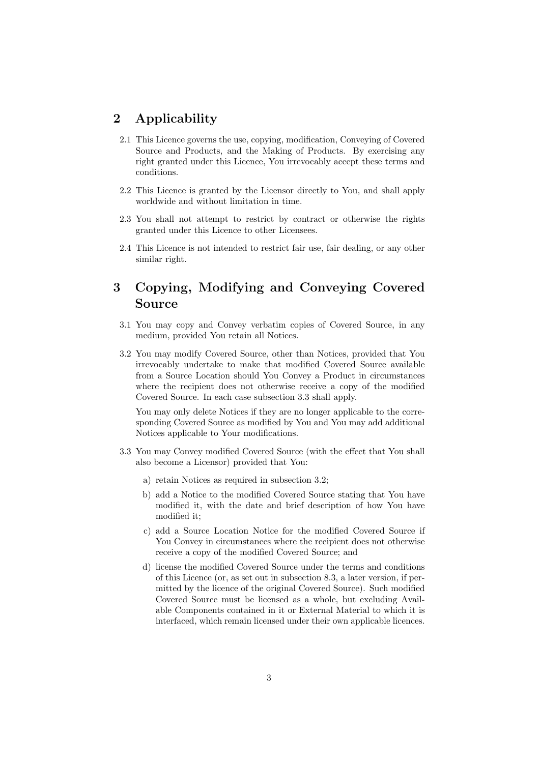# 2 Applicability

- 2.1 This Licence governs the use, copying, modification, Conveying of Covered Source and Products, and the Making of Products. By exercising any right granted under this Licence, You irrevocably accept these terms and conditions.
- 2.2 This Licence is granted by the Licensor directly to You, and shall apply worldwide and without limitation in time.
- 2.3 You shall not attempt to restrict by contract or otherwise the rights granted under this Licence to other Licensees.
- 2.4 This Licence is not intended to restrict fair use, fair dealing, or any other similar right.

# 3 Copying, Modifying and Conveying Covered Source

- 3.1 You may copy and Convey verbatim copies of Covered Source, in any medium, provided You retain all Notices.
- 3.2 You may modify Covered Source, other than Notices, provided that You irrevocably undertake to make that modified Covered Source available from a Source Location should You Convey a Product in circumstances where the recipient does not otherwise receive a copy of the modified Covered Source. In each case subsection 3.3 shall apply.

You may only delete Notices if they are no longer applicable to the corresponding Covered Source as modified by You and You may add additional Notices applicable to Your modifications.

- 3.3 You may Convey modified Covered Source (with the effect that You shall also become a Licensor) provided that You:
	- a) retain Notices as required in subsection 3.2;
	- b) add a Notice to the modified Covered Source stating that You have modified it, with the date and brief description of how You have modified it;
	- c) add a Source Location Notice for the modified Covered Source if You Convey in circumstances where the recipient does not otherwise receive a copy of the modified Covered Source; and
	- d) license the modified Covered Source under the terms and conditions of this Licence (or, as set out in subsection 8.3, a later version, if permitted by the licence of the original Covered Source). Such modified Covered Source must be licensed as a whole, but excluding Available Components contained in it or External Material to which it is interfaced, which remain licensed under their own applicable licences.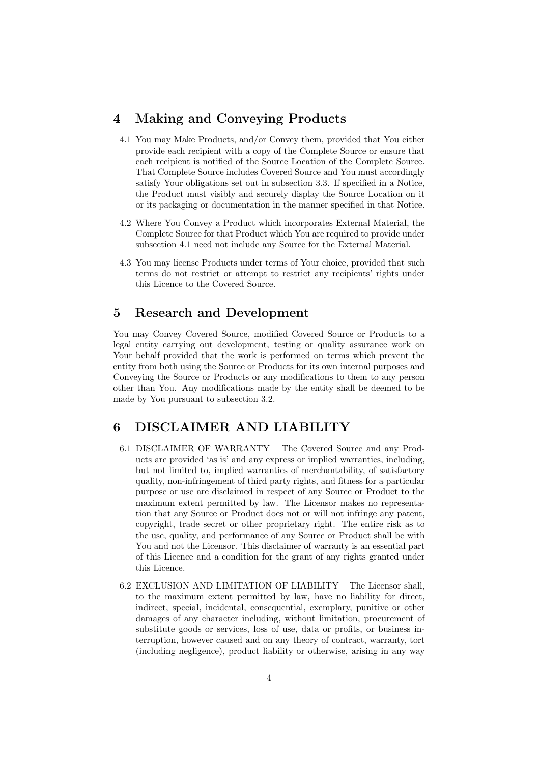### 4 Making and Conveying Products

- 4.1 You may Make Products, and/or Convey them, provided that You either provide each recipient with a copy of the Complete Source or ensure that each recipient is notified of the Source Location of the Complete Source. That Complete Source includes Covered Source and You must accordingly satisfy Your obligations set out in subsection 3.3. If specified in a Notice, the Product must visibly and securely display the Source Location on it or its packaging or documentation in the manner specified in that Notice.
- 4.2 Where You Convey a Product which incorporates External Material, the Complete Source for that Product which You are required to provide under subsection 4.1 need not include any Source for the External Material.
- 4.3 You may license Products under terms of Your choice, provided that such terms do not restrict or attempt to restrict any recipients' rights under this Licence to the Covered Source.

#### 5 Research and Development

You may Convey Covered Source, modified Covered Source or Products to a legal entity carrying out development, testing or quality assurance work on Your behalf provided that the work is performed on terms which prevent the entity from both using the Source or Products for its own internal purposes and Conveying the Source or Products or any modifications to them to any person other than You. Any modifications made by the entity shall be deemed to be made by You pursuant to subsection 3.2.

### 6 DISCLAIMER AND LIABILITY

- 6.1 DISCLAIMER OF WARRANTY The Covered Source and any Products are provided 'as is' and any express or implied warranties, including, but not limited to, implied warranties of merchantability, of satisfactory quality, non-infringement of third party rights, and fitness for a particular purpose or use are disclaimed in respect of any Source or Product to the maximum extent permitted by law. The Licensor makes no representation that any Source or Product does not or will not infringe any patent, copyright, trade secret or other proprietary right. The entire risk as to the use, quality, and performance of any Source or Product shall be with You and not the Licensor. This disclaimer of warranty is an essential part of this Licence and a condition for the grant of any rights granted under this Licence.
- 6.2 EXCLUSION AND LIMITATION OF LIABILITY The Licensor shall, to the maximum extent permitted by law, have no liability for direct, indirect, special, incidental, consequential, exemplary, punitive or other damages of any character including, without limitation, procurement of substitute goods or services, loss of use, data or profits, or business interruption, however caused and on any theory of contract, warranty, tort (including negligence), product liability or otherwise, arising in any way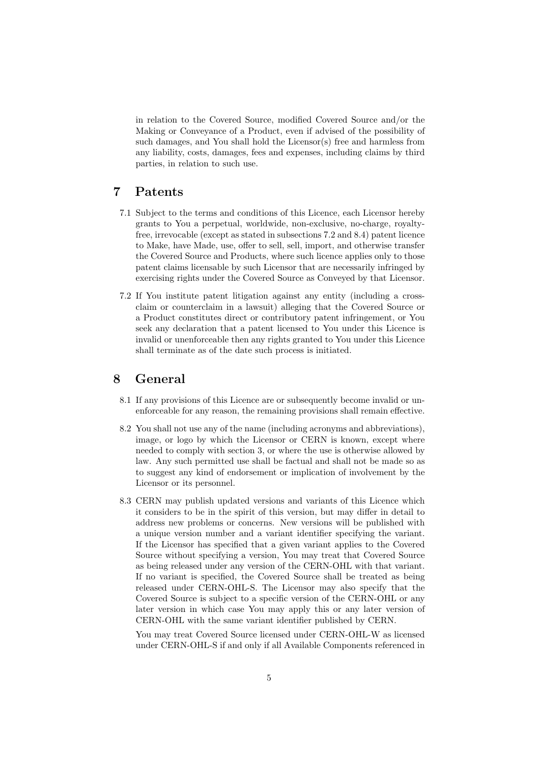in relation to the Covered Source, modified Covered Source and/or the Making or Conveyance of a Product, even if advised of the possibility of such damages, and You shall hold the Licensor(s) free and harmless from any liability, costs, damages, fees and expenses, including claims by third parties, in relation to such use.

# 7 Patents

- 7.1 Subject to the terms and conditions of this Licence, each Licensor hereby grants to You a perpetual, worldwide, non-exclusive, no-charge, royaltyfree, irrevocable (except as stated in subsections 7.2 and 8.4) patent licence to Make, have Made, use, offer to sell, sell, import, and otherwise transfer the Covered Source and Products, where such licence applies only to those patent claims licensable by such Licensor that are necessarily infringed by exercising rights under the Covered Source as Conveyed by that Licensor.
- 7.2 If You institute patent litigation against any entity (including a crossclaim or counterclaim in a lawsuit) alleging that the Covered Source or a Product constitutes direct or contributory patent infringement, or You seek any declaration that a patent licensed to You under this Licence is invalid or unenforceable then any rights granted to You under this Licence shall terminate as of the date such process is initiated.

#### 8 General

- 8.1 If any provisions of this Licence are or subsequently become invalid or unenforceable for any reason, the remaining provisions shall remain effective.
- 8.2 You shall not use any of the name (including acronyms and abbreviations), image, or logo by which the Licensor or CERN is known, except where needed to comply with section 3, or where the use is otherwise allowed by law. Any such permitted use shall be factual and shall not be made so as to suggest any kind of endorsement or implication of involvement by the Licensor or its personnel.
- 8.3 CERN may publish updated versions and variants of this Licence which it considers to be in the spirit of this version, but may differ in detail to address new problems or concerns. New versions will be published with a unique version number and a variant identifier specifying the variant. If the Licensor has specified that a given variant applies to the Covered Source without specifying a version, You may treat that Covered Source as being released under any version of the CERN-OHL with that variant. If no variant is specified, the Covered Source shall be treated as being released under CERN-OHL-S. The Licensor may also specify that the Covered Source is subject to a specific version of the CERN-OHL or any later version in which case You may apply this or any later version of CERN-OHL with the same variant identifier published by CERN.

You may treat Covered Source licensed under CERN-OHL-W as licensed under CERN-OHL-S if and only if all Available Components referenced in